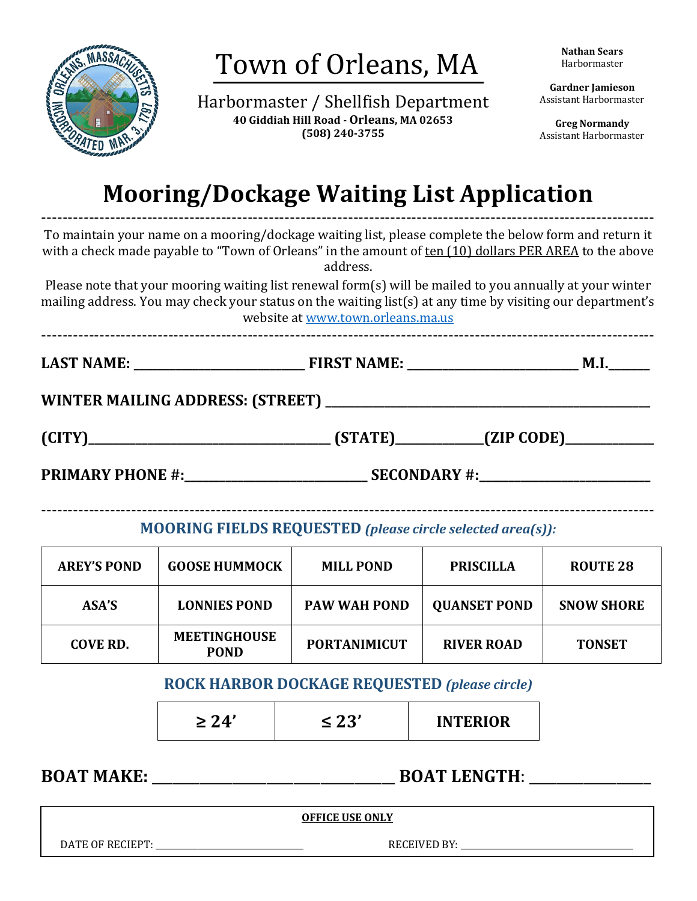

Harbormaster / Shellfish Department **40 Giddiah Hill Road - Orleans, MA 02653 (508) 240-3755**

**Nathan Sears** Harbormaster

**Gardner Jamieson** Assistant Harbormaster

**Greg Normandy** Assistant Harbormaster

# **Mooring/Dockage Waiting List Application**

-------------------------------------------------------------------------------------------------------------------- To maintain your name on a mooring/dockage waiting list, please complete the below form and return it with a check made payable to "Town of Orleans" in the amount of ten (10) dollars PER AREA to the above address.

Please note that your mooring waiting list renewal form(s) will be mailed to you annually at your winter mailing address. You may check your status on the waiting list(s) at any time by visiting our department's website a[t www.town.orleans.ma.us](http://www.town.orleans.ma.us/)

**LAST NAME: \_\_\_\_\_\_\_\_\_\_\_\_\_\_\_\_\_\_\_\_\_\_\_\_\_\_\_\_\_ FIRST NAME: \_\_\_\_\_\_\_\_\_\_\_\_\_\_\_\_\_\_\_\_\_\_\_\_\_\_\_\_\_ M.I.\_\_\_\_\_\_\_**

--------------------------------------------------------------------------------------------------------------------

WINTER MAILING ADDRESS: (STREET)

|        | <b>΄ ΚΤΑ ΤΓΙ</b> |            |  |
|--------|------------------|------------|--|
| (CITY) |                  | (ZIP CODE) |  |
|        |                  |            |  |

**PRIMARY PHONE #:\_\_\_\_\_\_\_\_\_\_\_\_\_\_\_\_\_\_\_\_\_\_\_\_\_\_\_\_\_\_\_ SECONDARY #:\_\_\_\_\_\_\_\_\_\_\_\_\_\_\_\_\_\_\_\_\_\_\_\_\_\_\_\_\_**

-------------------------------------------------------------------------------------------------------------------- **MOORING FIELDS REQUESTED** *(please circle selected area(s)):*

| <b>AREY'S POND</b> | <b>GOOSE HUMMOCK</b>               | <b>MILL POND</b>    | <b>PRISCILLA</b>    | <b>ROUTE 28</b>   |
|--------------------|------------------------------------|---------------------|---------------------|-------------------|
| ASA'S              | <b>LONNIES POND</b>                | <b>PAW WAH POND</b> | <b>QUANSET POND</b> | <b>SNOW SHORE</b> |
| COVE RD.           | <b>MEETINGHOUSE</b><br><b>POND</b> | <b>PORTANIMICUT</b> | <b>RIVER ROAD</b>   | <b>TONSET</b>     |

## **ROCK HARBOR DOCKAGE REQUESTED** *(please circle)*

| ירי | <b>INTERIOR</b> |
|-----|-----------------|
|     |                 |

**BOAT MAKE: BOAT LENGTH**:

**OFFICE USE ONLY**

DATE OF RECIEPT: \_\_\_\_\_\_\_\_\_\_\_\_\_\_\_\_\_\_\_\_\_\_\_\_\_\_\_\_\_\_\_\_\_\_\_ RECEIVED BY: \_\_\_\_\_\_\_\_\_\_\_\_\_\_\_\_\_\_\_\_\_\_\_\_\_\_\_\_\_\_\_\_\_\_\_\_\_\_\_\_\_